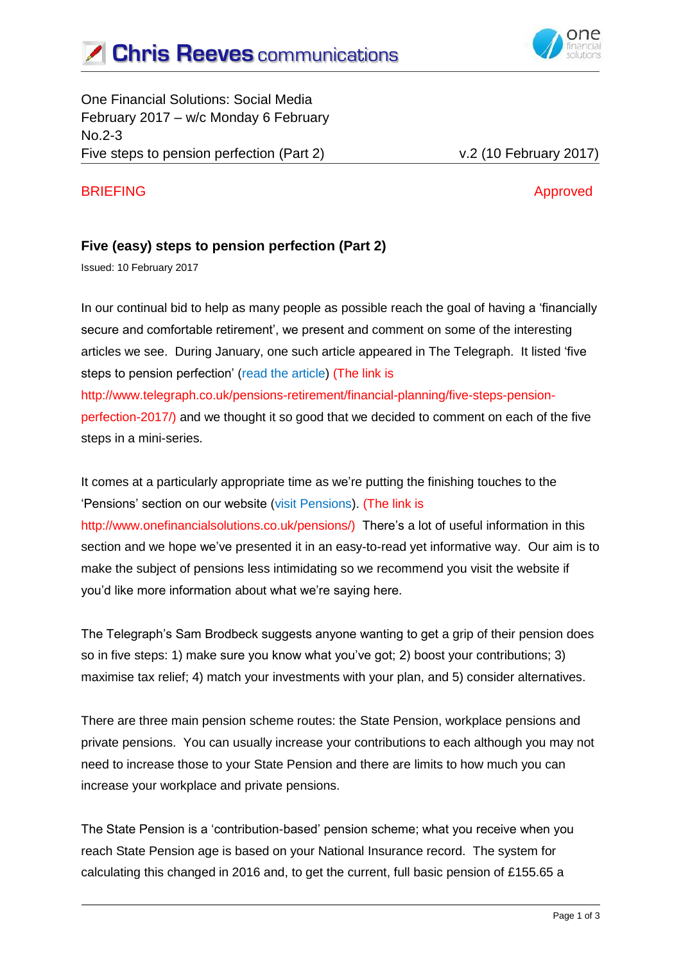



One Financial Solutions: Social Media February 2017 – w/c Monday 6 February No.2-3 Five steps to pension perfection (Part 2) v.2 (10 February 2017)

### BRIEFING Approved

### **Five (easy) steps to pension perfection (Part 2)**

Issued: 10 February 2017

In our continual bid to help as many people as possible reach the goal of having a 'financially secure and comfortable retirement', we present and comment on some of the interesting articles we see. During January, one such article appeared in The Telegraph. It listed 'five steps to pension perfection' (read the article) (The link is http://www.telegraph.co.uk/pensions-retirement/financial-planning/five-steps-pensionperfection-2017/) and we thought it so good that we decided to comment on each of the five steps in a mini-series.

It comes at a particularly appropriate time as we're putting the finishing touches to the 'Pensions' section on our website (visit Pensions). (The link is http://www.onefinancialsolutions.co.uk/pensions/) There's a lot of useful information in this section and we hope we've presented it in an easy-to-read yet informative way. Our aim is to make the subject of pensions less intimidating so we recommend you visit the website if you'd like more information about what we're saying here.

The Telegraph's Sam Brodbeck suggests anyone wanting to get a grip of their pension does so in five steps: 1) make sure you know what you've got; 2) boost your contributions; 3) maximise tax relief; 4) match your investments with your plan, and 5) consider alternatives.

There are three main pension scheme routes: the State Pension, workplace pensions and private pensions. You can usually increase your contributions to each although you may not need to increase those to your State Pension and there are limits to how much you can increase your workplace and private pensions.

The State Pension is a 'contribution-based' pension scheme; what you receive when you reach State Pension age is based on your National Insurance record. The system for calculating this changed in 2016 and, to get the current, full basic pension of £155.65 a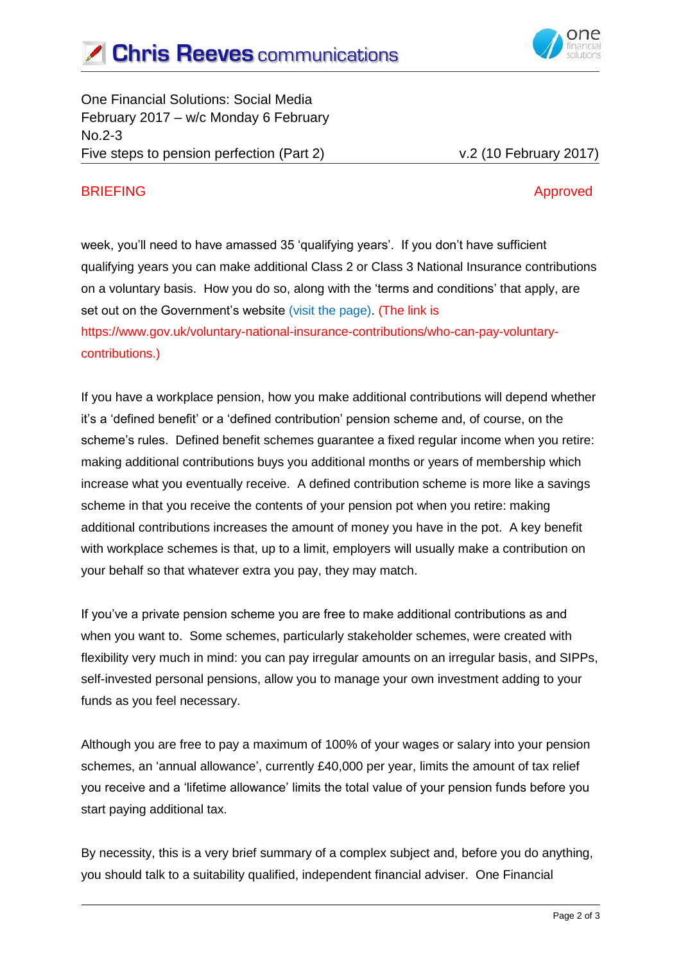

One Financial Solutions: Social Media February 2017 – w/c Monday 6 February No.2-3 Five steps to pension perfection (Part 2) v.2 (10 February 2017)

# BRIEFING Approved

week, you'll need to have amassed 35 'qualifying years'. If you don't have sufficient qualifying years you can make additional Class 2 or Class 3 National Insurance contributions on a voluntary basis. How you do so, along with the 'terms and conditions' that apply, are set out on the Government's website (visit the page). (The link is https://www.gov.uk/voluntary-national-insurance-contributions/who-can-pay-voluntarycontributions.)

If you have a workplace pension, how you make additional contributions will depend whether it's a 'defined benefit' or a 'defined contribution' pension scheme and, of course, on the scheme's rules. Defined benefit schemes guarantee a fixed regular income when you retire: making additional contributions buys you additional months or years of membership which increase what you eventually receive. A defined contribution scheme is more like a savings scheme in that you receive the contents of your pension pot when you retire: making additional contributions increases the amount of money you have in the pot. A key benefit with workplace schemes is that, up to a limit, employers will usually make a contribution on your behalf so that whatever extra you pay, they may match.

If you've a private pension scheme you are free to make additional contributions as and when you want to. Some schemes, particularly stakeholder schemes, were created with flexibility very much in mind: you can pay irregular amounts on an irregular basis, and SIPPs, self-invested personal pensions, allow you to manage your own investment adding to your funds as you feel necessary.

Although you are free to pay a maximum of 100% of your wages or salary into your pension schemes, an 'annual allowance', currently £40,000 per year, limits the amount of tax relief you receive and a 'lifetime allowance' limits the total value of your pension funds before you start paying additional tax.

By necessity, this is a very brief summary of a complex subject and, before you do anything, you should talk to a suitability qualified, independent financial adviser. One Financial